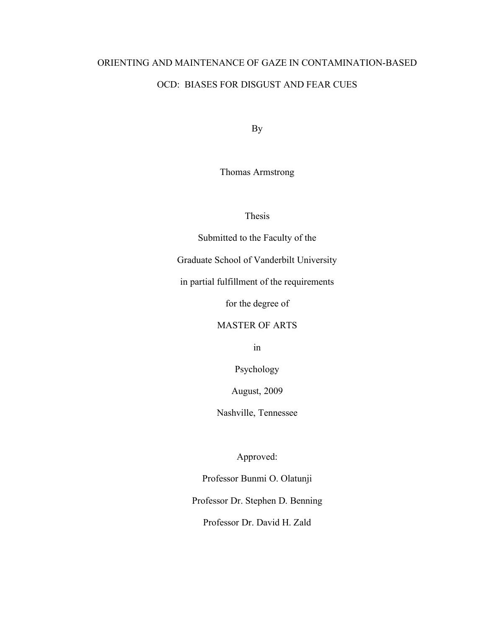# ORIENTING AND MAINTENANCE OF GAZE IN CONTAMINATION-BASED OCD: BIASES FOR DISGUST AND FEAR CUES

By

Thomas Armstrong

Thesis

Submitted to the Faculty of the

Graduate School of Vanderbilt University

in partial fulfillment of the requirements

for the degree of

#### MASTER OF ARTS

in

Psychology

August, 2009

Nashville, Tennessee

Approved:

Professor Bunmi O. Olatunji

Professor Dr. Stephen D. Benning

Professor Dr. David H. Zald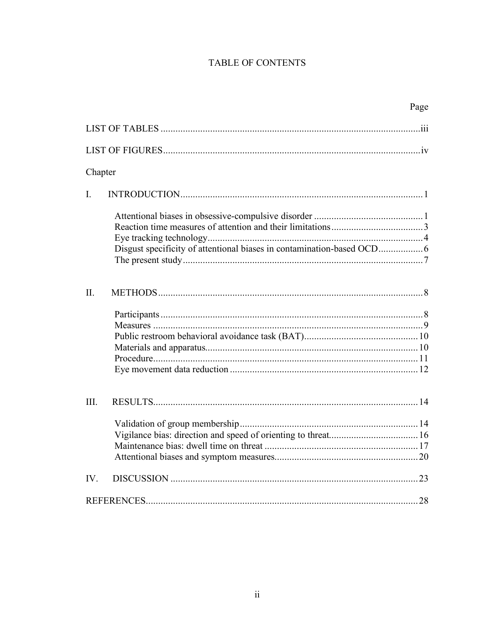# TABLE OF CONTENTS

|                | Page |
|----------------|------|
|                |      |
|                |      |
| Chapter        |      |
| $\mathbf{I}$ . |      |
|                |      |
|                |      |
|                |      |
|                |      |
| II.            |      |
|                |      |
|                |      |
|                |      |
|                |      |
|                |      |
|                |      |
|                |      |
| III.           |      |
|                |      |
|                |      |
|                |      |
|                |      |
| $IV_{i}$       |      |
|                |      |
|                |      |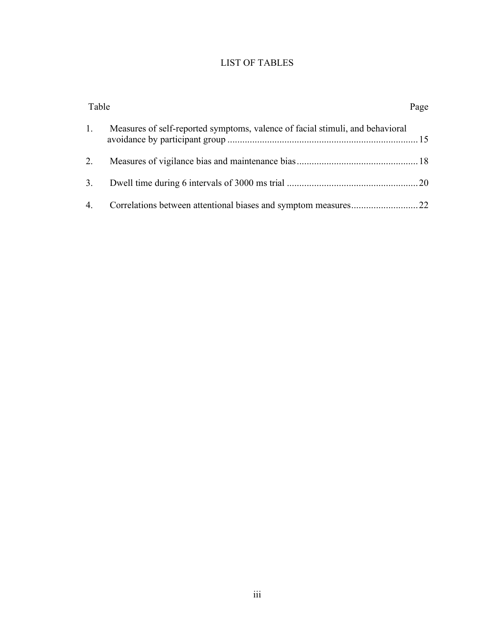# LIST OF TABLES

| Table |                                                                               | Page |
|-------|-------------------------------------------------------------------------------|------|
| 1.    | Measures of self-reported symptoms, valence of facial stimuli, and behavioral |      |
| 2.    |                                                                               |      |
| 3.    |                                                                               |      |
|       |                                                                               |      |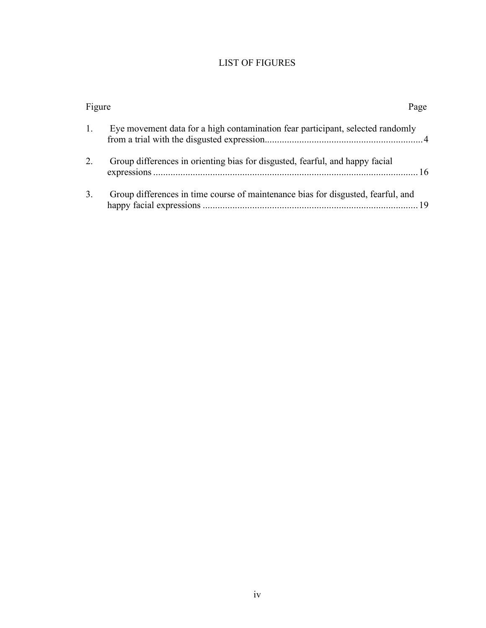# LIST OF FIGURES

| Figure |                                                                                  | Page |
|--------|----------------------------------------------------------------------------------|------|
| 1.     | Eye movement data for a high contamination fear participant, selected randomly   |      |
| 2.     | Group differences in orienting bias for disgusted, fearful, and happy facial     |      |
| 3.     | Group differences in time course of maintenance bias for disgusted, fearful, and |      |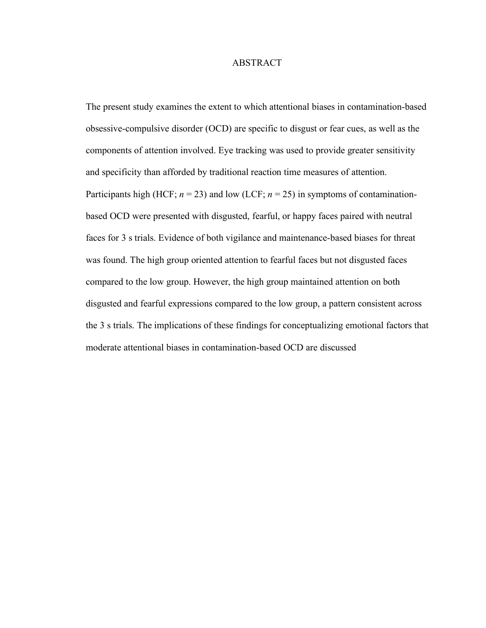#### ABSTRACT

The present study examines the extent to which attentional biases in contamination-based obsessive-compulsive disorder (OCD) are specific to disgust or fear cues, as well as the components of attention involved. Eye tracking was used to provide greater sensitivity and specificity than afforded by traditional reaction time measures of attention. Participants high (HCF;  $n = 23$ ) and low (LCF;  $n = 25$ ) in symptoms of contaminationbased OCD were presented with disgusted, fearful, or happy faces paired with neutral faces for 3 s trials. Evidence of both vigilance and maintenance-based biases for threat was found. The high group oriented attention to fearful faces but not disgusted faces compared to the low group. However, the high group maintained attention on both disgusted and fearful expressions compared to the low group, a pattern consistent across the 3 s trials. The implications of these findings for conceptualizing emotional factors that moderate attentional biases in contamination-based OCD are discussed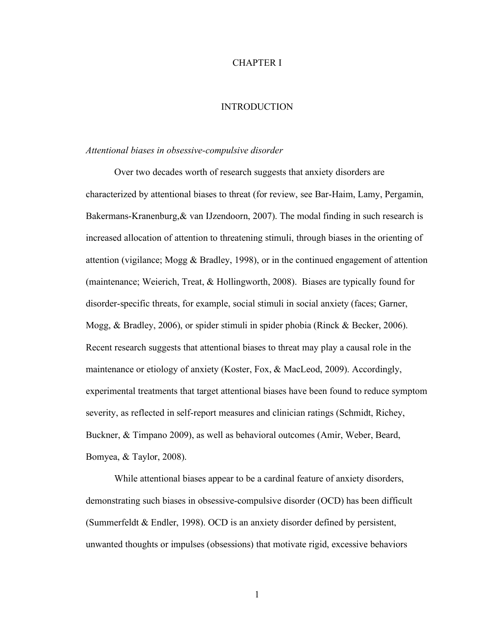#### CHAPTER I

#### INTRODUCTION

#### *Attentional biases in obsessive-compulsive disorder*

Over two decades worth of research suggests that anxiety disorders are characterized by attentional biases to threat (for review, see Bar-Haim, Lamy, Pergamin, Bakermans-Kranenburg,& van IJzendoorn, 2007). The modal finding in such research is increased allocation of attention to threatening stimuli, through biases in the orienting of attention (vigilance; Mogg & Bradley, 1998), or in the continued engagement of attention (maintenance; Weierich, Treat, & Hollingworth, 2008). Biases are typically found for disorder-specific threats, for example, social stimuli in social anxiety (faces; Garner, Mogg, & Bradley, 2006), or spider stimuli in spider phobia (Rinck & Becker, 2006). Recent research suggests that attentional biases to threat may play a causal role in the maintenance or etiology of anxiety (Koster, Fox, & MacLeod, 2009). Accordingly, experimental treatments that target attentional biases have been found to reduce symptom severity, as reflected in self-report measures and clinician ratings (Schmidt, Richey, Buckner, & Timpano 2009), as well as behavioral outcomes (Amir, Weber, Beard, Bomyea, & Taylor, 2008).

While attentional biases appear to be a cardinal feature of anxiety disorders, demonstrating such biases in obsessive-compulsive disorder (OCD) has been difficult (Summerfeldt & Endler, 1998). OCD is an anxiety disorder defined by persistent, unwanted thoughts or impulses (obsessions) that motivate rigid, excessive behaviors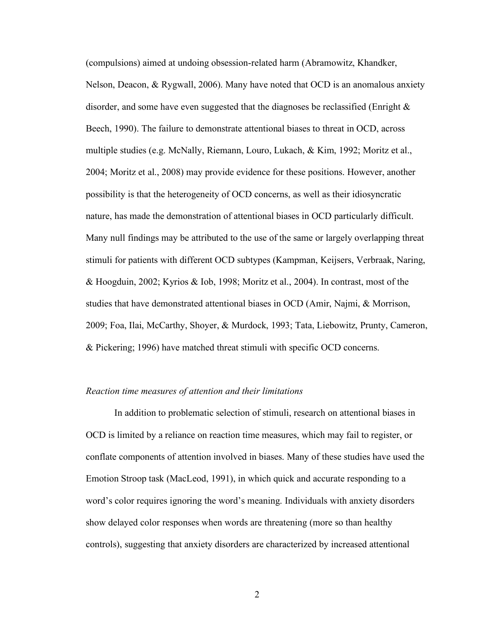(compulsions) aimed at undoing obsession-related harm (Abramowitz, Khandker, Nelson, Deacon, & Rygwall, 2006). Many have noted that OCD is an anomalous anxiety disorder, and some have even suggested that the diagnoses be reclassified (Enright  $\&$ Beech, 1990). The failure to demonstrate attentional biases to threat in OCD, across multiple studies (e.g. McNally, Riemann, Louro, Lukach, & Kim, 1992; Moritz et al., 2004; Moritz et al., 2008) may provide evidence for these positions. However, another possibility is that the heterogeneity of OCD concerns, as well as their idiosyncratic nature, has made the demonstration of attentional biases in OCD particularly difficult. Many null findings may be attributed to the use of the same or largely overlapping threat stimuli for patients with different OCD subtypes (Kampman, Keijsers, Verbraak, Naring, & Hoogduin, 2002; Kyrios & Iob, 1998; Moritz et al., 2004). In contrast, most of the studies that have demonstrated attentional biases in OCD (Amir, Najmi, & Morrison, 2009; Foa, Ilai, McCarthy, Shoyer, & Murdock, 1993; Tata, Liebowitz, Prunty, Cameron, & Pickering; 1996) have matched threat stimuli with specific OCD concerns.

#### *Reaction time measures of attention and their limitations*

In addition to problematic selection of stimuli, research on attentional biases in OCD is limited by a reliance on reaction time measures, which may fail to register, or conflate components of attention involved in biases. Many of these studies have used the Emotion Stroop task (MacLeod, 1991), in which quick and accurate responding to a word's color requires ignoring the word's meaning. Individuals with anxiety disorders show delayed color responses when words are threatening (more so than healthy controls), suggesting that anxiety disorders are characterized by increased attentional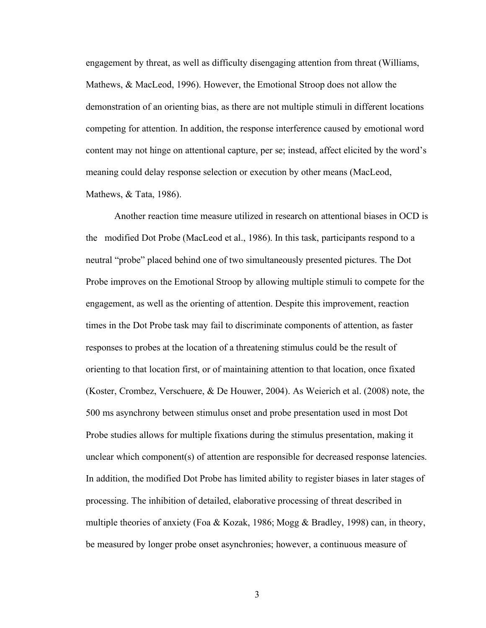engagement by threat, as well as difficulty disengaging attention from threat (Williams, Mathews, & MacLeod, 1996). However, the Emotional Stroop does not allow the demonstration of an orienting bias, as there are not multiple stimuli in different locations competing for attention. In addition, the response interference caused by emotional word content may not hinge on attentional capture, per se; instead, affect elicited by the word's meaning could delay response selection or execution by other means (MacLeod, Mathews, & Tata, 1986).

Another reaction time measure utilized in research on attentional biases in OCD is the modified Dot Probe (MacLeod et al., 1986). In this task, participants respond to a neutral "probe" placed behind one of two simultaneously presented pictures. The Dot Probe improves on the Emotional Stroop by allowing multiple stimuli to compete for the engagement, as well as the orienting of attention. Despite this improvement, reaction times in the Dot Probe task may fail to discriminate components of attention, as faster responses to probes at the location of a threatening stimulus could be the result of orienting to that location first, or of maintaining attention to that location, once fixated (Koster, Crombez, Verschuere, & De Houwer, 2004). As Weierich et al. (2008) note, the 500 ms asynchrony between stimulus onset and probe presentation used in most Dot Probe studies allows for multiple fixations during the stimulus presentation, making it unclear which component(s) of attention are responsible for decreased response latencies. In addition, the modified Dot Probe has limited ability to register biases in later stages of processing. The inhibition of detailed, elaborative processing of threat described in multiple theories of anxiety (Foa & Kozak, 1986; Mogg & Bradley, 1998) can, in theory, be measured by longer probe onset asynchronies; however, a continuous measure of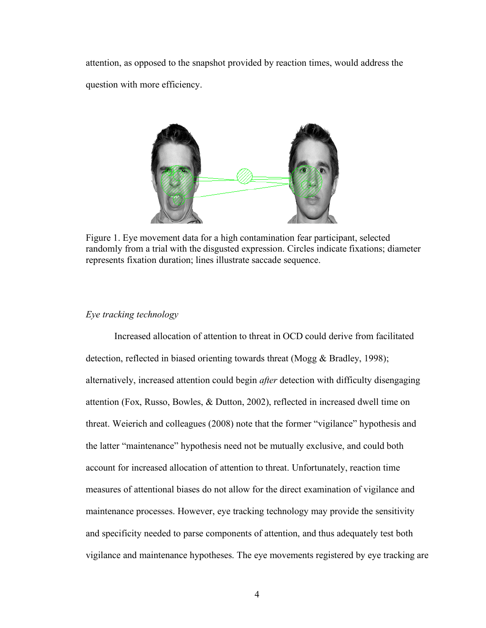attention, as opposed to the snapshot provided by reaction times, would address the question with more efficiency.



Figure 1. Eye movement data for a high contamination fear participant, selected randomly from a trial with the disgusted expression. Circles indicate fixations; diameter represents fixation duration; lines illustrate saccade sequence.

### *Eye tracking technology*

Increased allocation of attention to threat in OCD could derive from facilitated detection, reflected in biased orienting towards threat (Mogg  $\&$  Bradley, 1998); alternatively, increased attention could begin *after* detection with difficulty disengaging attention (Fox, Russo, Bowles, & Dutton, 2002), reflected in increased dwell time on threat. Weierich and colleagues (2008) note that the former "vigilance" hypothesis and the latter "maintenance" hypothesis need not be mutually exclusive, and could both account for increased allocation of attention to threat. Unfortunately, reaction time measures of attentional biases do not allow for the direct examination of vigilance and maintenance processes. However, eye tracking technology may provide the sensitivity and specificity needed to parse components of attention, and thus adequately test both vigilance and maintenance hypotheses. The eye movements registered by eye tracking are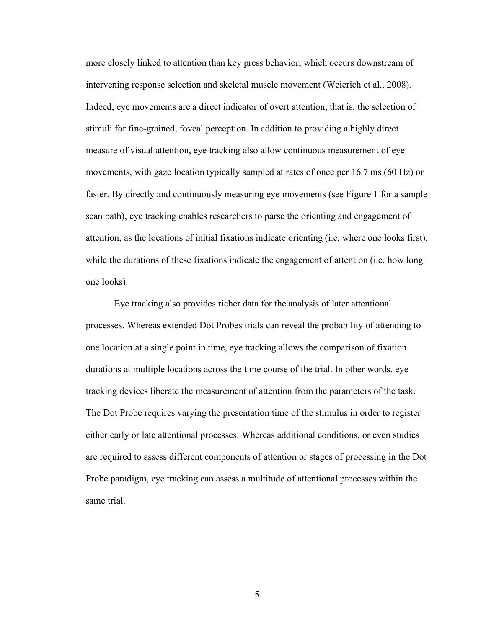more closely linked to attention than key press behavior, which occurs downstream of intervening response selection and skeletal muscle movement (Weierich et al., 2008). Indeed, eye movements are a direct indicator of overt attention, that is, the selection of stimuli for fine-grained, foveal perception. In addition to providing a highly direct measure of visual attention, eye tracking also allow continuous measurement of eye movements, with gaze location typically sampled at rates of once per 16.7 ms (60 Hz) or faster. By directly and continuously measuring eye movements (see Figure 1 for a sample scan path), eye tracking enables researchers to parse the orienting and engagement of attention, as the locations of initial fixations indicate orienting (i.e. where one looks first), while the durations of these fixations indicate the engagement of attention (i.e. how long one looks).

Eye tracking also provides richer data for the analysis of later attentional processes. Whereas extended Dot Probes trials can reveal the probability of attending to one location at a single point in time, eye tracking allows the comparison of fixation durations at multiple locations across the time course of the trial. In other words, eye tracking devices liberate the measurement of attention from the parameters of the task. The Dot Probe requires varying the presentation time of the stimulus in order to register either early or late attentional processes. Whereas additional conditions, or even studies are required to assess different components of attention or stages of processing in the Dot Probe paradigm, eye tracking can assess a multitude of attentional processes within the same trial.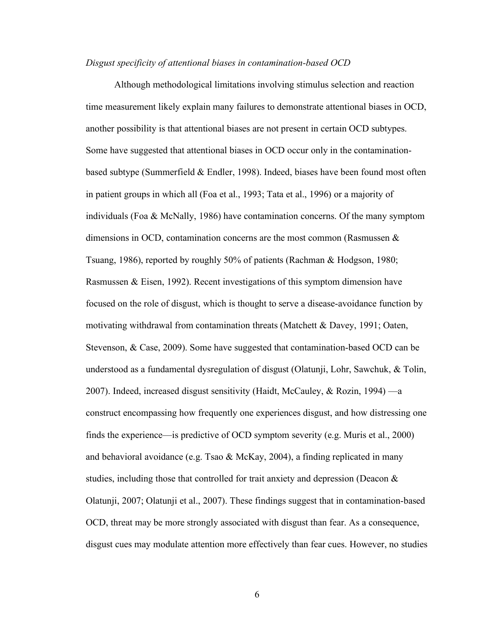#### *Disgust specificity of attentional biases in contamination-based OCD*

Although methodological limitations involving stimulus selection and reaction time measurement likely explain many failures to demonstrate attentional biases in OCD, another possibility is that attentional biases are not present in certain OCD subtypes. Some have suggested that attentional biases in OCD occur only in the contaminationbased subtype (Summerfield & Endler, 1998). Indeed, biases have been found most often in patient groups in which all (Foa et al., 1993; Tata et al., 1996) or a majority of individuals (Foa & McNally, 1986) have contamination concerns. Of the many symptom dimensions in OCD, contamination concerns are the most common (Rasmussen & Tsuang, 1986), reported by roughly 50% of patients (Rachman & Hodgson, 1980; Rasmussen & Eisen, 1992). Recent investigations of this symptom dimension have focused on the role of disgust, which is thought to serve a disease-avoidance function by motivating withdrawal from contamination threats (Matchett & Davey, 1991; Oaten, Stevenson, & Case, 2009). Some have suggested that contamination-based OCD can be understood as a fundamental dysregulation of disgust (Olatunji, Lohr, Sawchuk, & Tolin, 2007). Indeed, increased disgust sensitivity (Haidt, McCauley, & Rozin, 1994) —a construct encompassing how frequently one experiences disgust, and how distressing one finds the experience—is predictive of OCD symptom severity (e.g. Muris et al., 2000) and behavioral avoidance (e.g. Tsao  $\&$  McKay, 2004), a finding replicated in many studies, including those that controlled for trait anxiety and depression (Deacon & Olatunji, 2007; Olatunji et al., 2007). These findings suggest that in contamination-based OCD, threat may be more strongly associated with disgust than fear. As a consequence, disgust cues may modulate attention more effectively than fear cues. However, no studies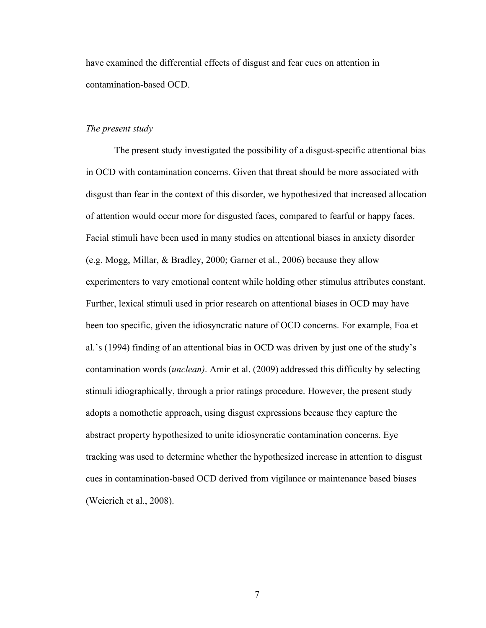have examined the differential effects of disgust and fear cues on attention in contamination-based OCD.

#### *The present study*

The present study investigated the possibility of a disgust-specific attentional bias in OCD with contamination concerns. Given that threat should be more associated with disgust than fear in the context of this disorder, we hypothesized that increased allocation of attention would occur more for disgusted faces, compared to fearful or happy faces. Facial stimuli have been used in many studies on attentional biases in anxiety disorder (e.g. Mogg, Millar, & Bradley, 2000; Garner et al., 2006) because they allow experimenters to vary emotional content while holding other stimulus attributes constant. Further, lexical stimuli used in prior research on attentional biases in OCD may have been too specific, given the idiosyncratic nature of OCD concerns. For example, Foa et al.'s (1994) finding of an attentional bias in OCD was driven by just one of the study's contamination words (*unclean)*. Amir et al. (2009) addressed this difficulty by selecting stimuli idiographically, through a prior ratings procedure. However, the present study adopts a nomothetic approach, using disgust expressions because they capture the abstract property hypothesized to unite idiosyncratic contamination concerns. Eye tracking was used to determine whether the hypothesized increase in attention to disgust cues in contamination-based OCD derived from vigilance or maintenance based biases (Weierich et al., 2008).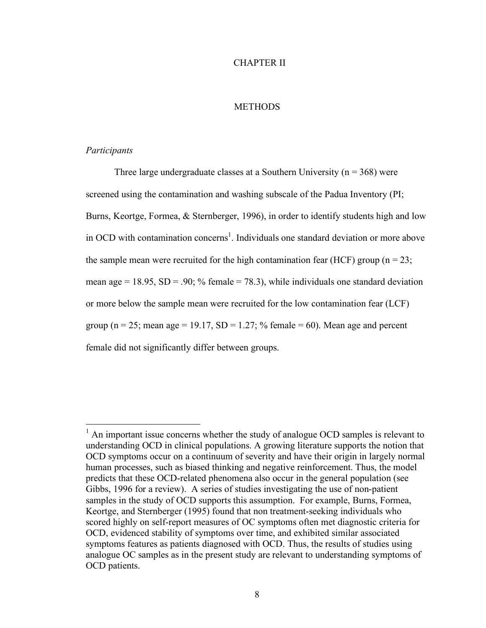#### CHAPTER II

#### **METHODS**

#### *Participants*

Three large undergraduate classes at a Southern University ( $n = 368$ ) were screened using the contamination and washing subscale of the Padua Inventory (PI; Burns, Keortge, Formea, & Sternberger, 1996), in order to identify students high and low in OCD with contamination concerns 1 . Individuals one standard deviation or more above the sample mean were recruited for the high contamination fear (HCF) group ( $n = 23$ ; mean age = 18.95,  $SD = .90$ ; % female = 78.3), while individuals one standard deviation or more below the sample mean were recruited for the low contamination fear (LCF) group ( $n = 25$ ; mean age = 19.17, SD = 1.27; % female = 60). Mean age and percent female did not significantly differ between groups.

 $<sup>1</sup>$  An important issue concerns whether the study of analogue OCD samples is relevant to</sup> understanding OCD in clinical populations. A growing literature supports the notion that OCD symptoms occur on a continuum of severity and have their origin in largely normal human processes, such as biased thinking and negative reinforcement. Thus, the model predicts that these OCD-related phenomena also occur in the general population (see Gibbs, 1996 for a review). A series of studies investigating the use of non-patient samples in the study of OCD supports this assumption. For example, Burns, Formea, Keortge, and Sternberger (1995) found that non treatment-seeking individuals who scored highly on self-report measures of OC symptoms often met diagnostic criteria for OCD, evidenced stability of symptoms over time, and exhibited similar associated symptoms features as patients diagnosed with OCD. Thus, the results of studies using analogue OC samples as in the present study are relevant to understanding symptoms of OCD patients.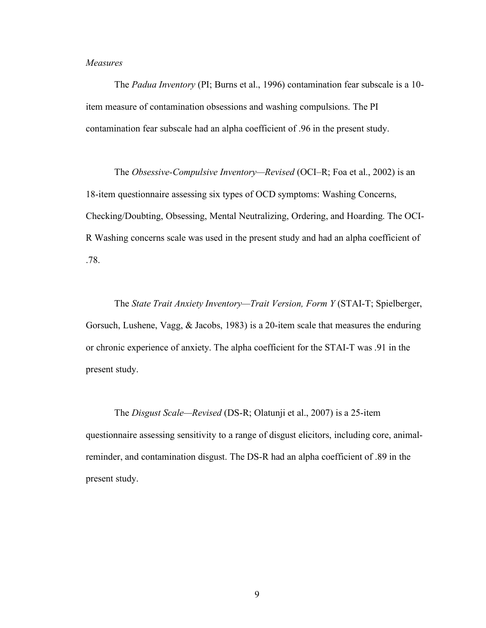#### *Measures*

The *Padua Inventory* (PI; Burns et al., 1996) contamination fear subscale is a 10 item measure of contamination obsessions and washing compulsions. The PI contamination fear subscale had an alpha coefficient of .96 in the present study.

The *Obsessive-Compulsive Inventory—Revised* (OCI–R; Foa et al., 2002) is an 18-item questionnaire assessing six types of OCD symptoms: Washing Concerns, Checking/Doubting, Obsessing, Mental Neutralizing, Ordering, and Hoarding. The OCI-R Washing concerns scale was used in the present study and had an alpha coefficient of .78.

The *State Trait Anxiety Inventory—Trait Version, Form Y* (STAI-T; Spielberger, Gorsuch, Lushene, Vagg, & Jacobs, 1983) is a 20-item scale that measures the enduring or chronic experience of anxiety. The alpha coefficient for the STAI-T was .91 in the present study.

The *Disgust Scale—Revised* (DS-R; Olatunji et al., 2007) is a 25-item questionnaire assessing sensitivity to a range of disgust elicitors, including core, animalreminder, and contamination disgust. The DS-R had an alpha coefficient of .89 in the present study.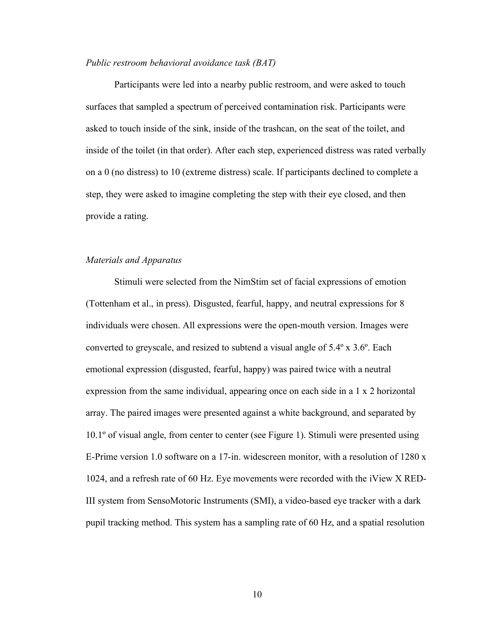#### *Public restroom behavioral avoidance task (BAT)*

Participants were led into a nearby public restroom, and were asked to touch surfaces that sampled a spectrum of perceived contamination risk. Participants were asked to touch inside of the sink, inside of the trashcan, on the seat of the toilet, and inside of the toilet (in that order). After each step, experienced distress was rated verbally on a 0 (no distress) to 10 (extreme distress) scale. If participants declined to complete a step, they were asked to imagine completing the step with their eye closed, and then provide a rating.

#### *Materials and Apparatus*

Stimuli were selected from the NimStim set of facial expressions of emotion (Tottenham et al., in press). Disgusted, fearful, happy, and neutral expressions for 8 individuals were chosen. All expressions were the open-mouth version. Images were converted to greyscale, and resized to subtend a visual angle of  $5.4^\circ \times 3.6^\circ$ . Each emotional expression (disgusted, fearful, happy) was paired twice with a neutral expression from the same individual, appearing once on each side in a 1 x 2 horizontal array. The paired images were presented against a white background, and separated by 10.1º of visual angle, from center to center (see Figure 1). Stimuli were presented using E-Prime version 1.0 software on a 17-in. widescreen monitor, with a resolution of 1280 x 1024, and a refresh rate of 60 Hz. Eye movements were recorded with the iView X RED-III system from SensoMotoric Instruments (SMI), a video-based eye tracker with a dark pupil tracking method. This system has a sampling rate of 60 Hz, and a spatial resolution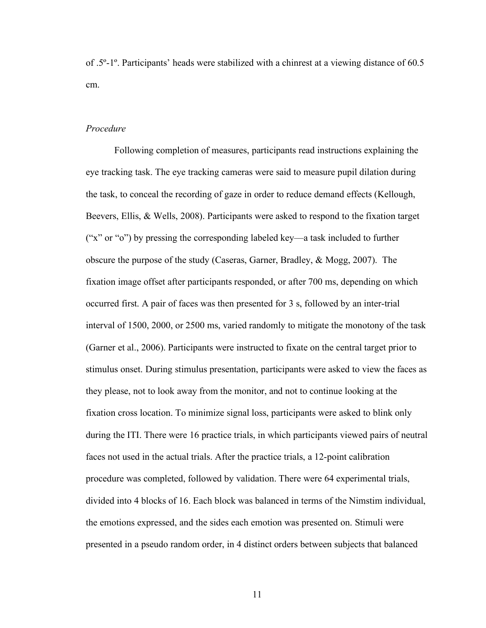of .5º-1º. Participants' heads were stabilized with a chinrest at a viewing distance of 60.5 cm.

#### *Procedure*

Following completion of measures, participants read instructions explaining the eye tracking task. The eye tracking cameras were said to measure pupil dilation during the task, to conceal the recording of gaze in order to reduce demand effects (Kellough, Beevers, Ellis, & Wells, 2008). Participants were asked to respond to the fixation target ("x" or "o") by pressing the corresponding labeled key––a task included to further obscure the purpose of the study (Caseras, Garner, Bradley, & Mogg, 2007). The fixation image offset after participants responded, or after 700 ms, depending on which occurred first. A pair of faces was then presented for 3 s, followed by an inter-trial interval of 1500, 2000, or 2500 ms, varied randomly to mitigate the monotony of the task (Garner et al., 2006). Participants were instructed to fixate on the central target prior to stimulus onset. During stimulus presentation, participants were asked to view the faces as they please, not to look away from the monitor, and not to continue looking at the fixation cross location. To minimize signal loss, participants were asked to blink only during the ITI. There were 16 practice trials, in which participants viewed pairs of neutral faces not used in the actual trials. After the practice trials, a 12-point calibration procedure was completed, followed by validation. There were 64 experimental trials, divided into 4 blocks of 16. Each block was balanced in terms of the Nimstim individual, the emotions expressed, and the sides each emotion was presented on. Stimuli were presented in a pseudo random order, in 4 distinct orders between subjects that balanced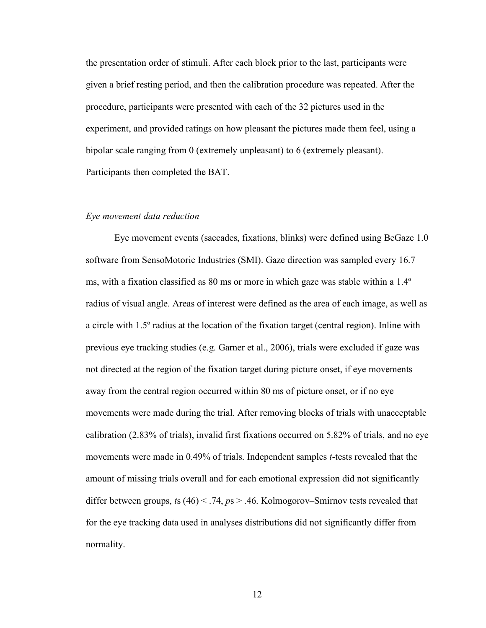the presentation order of stimuli. After each block prior to the last, participants were given a brief resting period, and then the calibration procedure was repeated. After the procedure, participants were presented with each of the 32 pictures used in the experiment, and provided ratings on how pleasant the pictures made them feel, using a bipolar scale ranging from 0 (extremely unpleasant) to 6 (extremely pleasant). Participants then completed the BAT.

### *Eye movement data reduction*

Eye movement events (saccades, fixations, blinks) were defined using BeGaze 1.0 software from SensoMotoric Industries (SMI). Gaze direction was sampled every 16.7 ms, with a fixation classified as 80 ms or more in which gaze was stable within a 1.4º radius of visual angle. Areas of interest were defined as the area of each image, as well as a circle with 1.5º radius at the location of the fixation target (central region). Inline with previous eye tracking studies (e.g. Garner et al., 2006), trials were excluded if gaze was not directed at the region of the fixation target during picture onset, if eye movements away from the central region occurred within 80 ms of picture onset, or if no eye movements were made during the trial. After removing blocks of trials with unacceptable calibration (2.83% of trials), invalid first fixations occurred on 5.82% of trials, and no eye movements were made in 0.49% of trials. Independent samples *t*-tests revealed that the amount of missing trials overall and for each emotional expression did not significantly differ between groups, *t*s (46) < .74, *p*s > .46. Kolmogorov–Smirnov tests revealed that for the eye tracking data used in analyses distributions did not significantly differ from normality.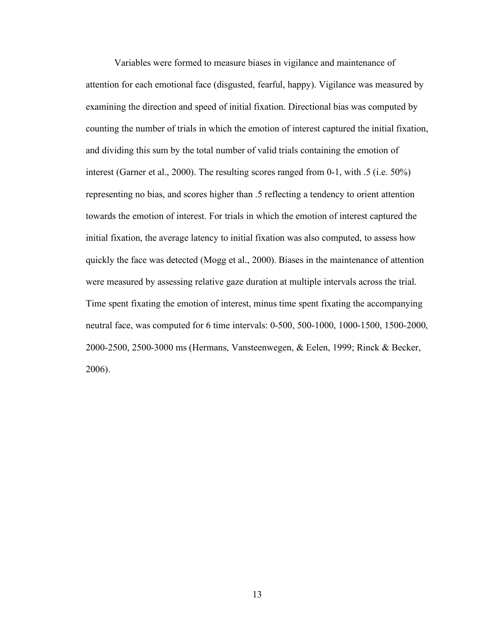Variables were formed to measure biases in vigilance and maintenance of attention for each emotional face (disgusted, fearful, happy). Vigilance was measured by examining the direction and speed of initial fixation. Directional bias was computed by counting the number of trials in which the emotion of interest captured the initial fixation, and dividing this sum by the total number of valid trials containing the emotion of interest (Garner et al., 2000). The resulting scores ranged from 0-1, with .5 (i.e. 50%) representing no bias, and scores higher than .5 reflecting a tendency to orient attention towards the emotion of interest. For trials in which the emotion of interest captured the initial fixation, the average latency to initial fixation was also computed, to assess how quickly the face was detected (Mogg et al., 2000). Biases in the maintenance of attention were measured by assessing relative gaze duration at multiple intervals across the trial. Time spent fixating the emotion of interest, minus time spent fixating the accompanying neutral face, was computed for 6 time intervals: 0-500, 500-1000, 1000-1500, 1500-2000, 2000-2500, 2500-3000 ms (Hermans, Vansteenwegen, & Eelen, 1999; Rinck & Becker, 2006).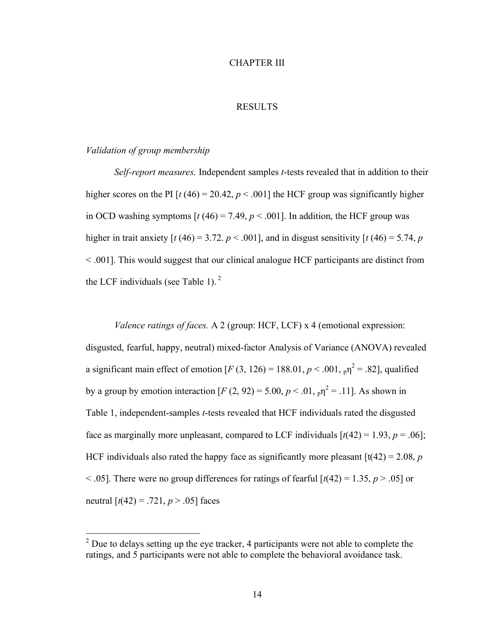#### CHAPTER III

#### RESULTS

#### *Validation of group membership*

*Self-report measures.* Independent samples *t*-tests revealed that in addition to their higher scores on the PI  $[t (46) = 20.42, p < .001]$  the HCF group was significantly higher in OCD washing symptoms  $[t(46) = 7.49, p < .001]$ . In addition, the HCF group was higher in trait anxiety  $\left[t\left(46\right) = 3.72, p < .001\right]$ , and in disgust sensitivity  $\left[t\left(46\right) = 5.74, p$ < .001]. This would suggest that our clinical analogue HCF participants are distinct from the LCF individuals (see Table 1). $<sup>2</sup>$ </sup>

*Valence ratings of faces.* A 2 (group: HCF, LCF) x 4 (emotional expression: disgusted, fearful, happy, neutral) mixed-factor Analysis of Variance (ANOVA) revealed a significant main effect of emotion  $[F(3, 126) = 188.01, p < .001, p^2 = .82]$ , qualified by a group by emotion interaction  $[F(2, 92) = 5.00, p < .01, p]^2 = .11$ . As shown in Table 1, independent-samples *t*-tests revealed that HCF individuals rated the disgusted face as marginally more unpleasant, compared to LCF individuals  $[t(42) = 1.93, p = .06]$ ; HCF individuals also rated the happy face as significantly more pleasant  $\left[t(42) = 2.08, p\right]$  $<$  0.05]. There were no group differences for ratings of fearful  $\lceil t(42) = 1.35, p > 0.05 \rceil$  or neutral  $[t(42) = .721, p > .05]$  faces

 $2^2$  Due to delays setting up the eye tracker, 4 participants were not able to complete the ratings, and 5 participants were not able to complete the behavioral avoidance task.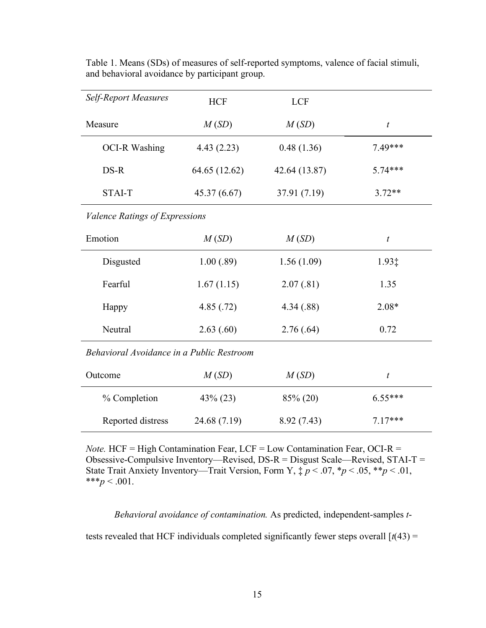| <b>Self-Report Measures</b>               | <b>HCF</b>    | <b>LCF</b>    |                  |
|-------------------------------------------|---------------|---------------|------------------|
| Measure                                   | M(SD)         | M(SD)         | $\boldsymbol{t}$ |
| <b>OCI-R Washing</b>                      | 4.43(2.23)    | 0.48(1.36)    | 7.49***          |
| DS-R                                      | 64.65 (12.62) | 42.64 (13.87) | $5.74***$        |
| <b>STAI-T</b>                             | 45.37(6.67)   | 37.91 (7.19)  |                  |
| Valence Ratings of Expressions            |               |               |                  |
| Emotion                                   | M(SD)         | M(SD)         | $\boldsymbol{t}$ |
| Disgusted                                 | 1.00(.89)     | 1.56(1.09)    | 1.93‡            |
| Fearful                                   | 1.67(1.15)    | 2.07(.81)     | 1.35             |
| Happy                                     | 4.85(.72)     | 4.34(.88)     | $2.08*$          |
| Neutral                                   | 2.63(.60)     | 2.76(.64)     | 0.72             |
| Behavioral Avoidance in a Public Restroom |               |               |                  |
| Outcome                                   | M(SD)         | M(SD)         | $\boldsymbol{t}$ |
| % Completion                              | $43\% (23)$   | 85% (20)      | $6.55***$        |
| Reported distress                         | 24.68 (7.19)  | 8.92(7.43)    | $7.17***$        |

Table 1. Means (SDs) of measures of self-reported symptoms, valence of facial stimuli, and behavioral avoidance by participant group.

*Note.* HCF = High Contamination Fear, LCF = Low Contamination Fear, OCI-R = Obsessive-Compulsive Inventory—Revised,  $DS-R =$  Disgust Scale—Revised,  $STAT =$ State Trait Anxiety Inventory—Trait Version, Form Y,  $\sharp p < .07$ ,  $\sharp p < .05$ ,  $\sharp p < .01$ , \*\*\* $p < .001$ .

*Behavioral avoidance of contamination.* As predicted, independent-samples *t*-

tests revealed that HCF individuals completed significantly fewer steps overall  $\left[t(43) =$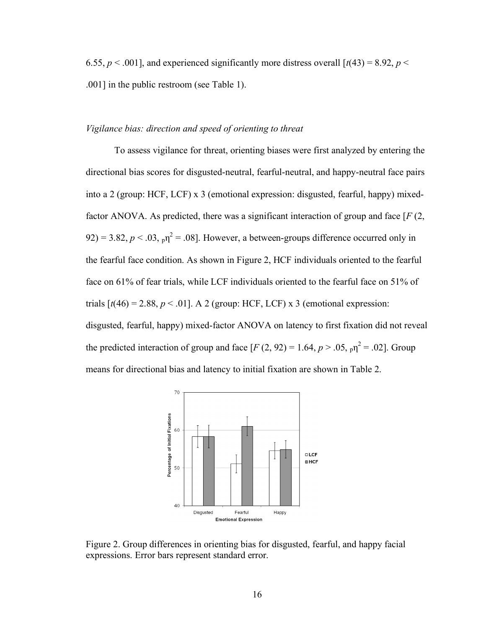6.55,  $p < .001$ ], and experienced significantly more distress overall  $\lceil t(43) = 8.92$ ,  $p <$ .001] in the public restroom (see Table 1).

#### *Vigilance bias: direction and speed of orienting to threat*

To assess vigilance for threat, orienting biases were first analyzed by entering the directional bias scores for disgusted-neutral, fearful-neutral, and happy-neutral face pairs into a 2 (group: HCF, LCF) x 3 (emotional expression: disgusted, fearful, happy) mixedfactor ANOVA. As predicted, there was a significant interaction of group and face [*F* (2,  $92$ ) = 3.82,  $p < .03$ ,  $p_1^2 = .08$ . However, a between-groups difference occurred only in the fearful face condition. As shown in Figure 2, HCF individuals oriented to the fearful face on 61% of fear trials, while LCF individuals oriented to the fearful face on 51% of trials  $[t(46) = 2.88, p < .01]$ . A 2 (group: HCF, LCF) x 3 (emotional expression: disgusted, fearful, happy) mixed-factor ANOVA on latency to first fixation did not reveal the predicted interaction of group and face  $[F(2, 92) = 1.64, p > .05, p]$ <sup>2</sup> = .02]. Group means for directional bias and latency to initial fixation are shown in Table 2.



Figure 2. Group differences in orienting bias for disgusted, fearful, and happy facial expressions. Error bars represent standard error.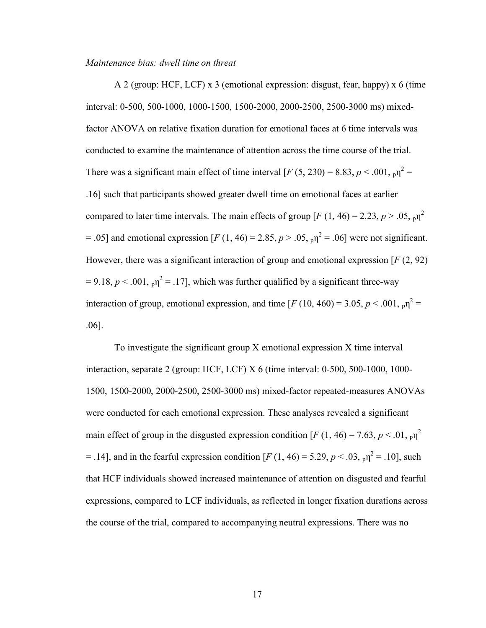#### *Maintenance bias: dwell time on threat*

A 2 (group: HCF, LCF) x 3 (emotional expression: disgust, fear, happy) x 6 (time interval: 0-500, 500-1000, 1000-1500, 1500-2000, 2000-2500, 2500-3000 ms) mixedfactor ANOVA on relative fixation duration for emotional faces at 6 time intervals was conducted to examine the maintenance of attention across the time course of the trial. There was a significant main effect of time interval  $[F (5, 230) = 8.83, p < .001, p]$ <sup>2</sup> = .16] such that participants showed greater dwell time on emotional faces at earlier compared to later time intervals. The main effects of group  $[F(1, 46) = 2.23, p > .05, p]^2$  $= .05$ ] and emotional expression [*F* (1, 46) = 2.85, *p* > .05,  $_{p}$  $\eta^{2} = .06$ ] were not significant. However, there was a significant interaction of group and emotional expression [*F* (2, 92)  $= 9.18$ ,  $p < .001$ ,  $p<sup>2</sup> = .17$ ], which was further qualified by a significant three-way interaction of group, emotional expression, and time  $[F(10, 460) = 3.05, p < .001, pT^2 =$ .06].

To investigate the significant group X emotional expression X time interval interaction, separate 2 (group: HCF, LCF) X 6 (time interval: 0-500, 500-1000, 1000- 1500, 1500-2000, 2000-2500, 2500-3000 ms) mixed-factor repeated-measures ANOVAs were conducted for each emotional expression. These analyses revealed a significant main effect of group in the disgusted expression condition  $[F(1, 46) = 7.63, p < .01, p]^2$ = .14], and in the fearful expression condition  $[F(1, 46) = 5.29, p < .03, p]$ <sup>2</sup> = .10], such that HCF individuals showed increased maintenance of attention on disgusted and fearful expressions, compared to LCF individuals, as reflected in longer fixation durations across the course of the trial, compared to accompanying neutral expressions. There was no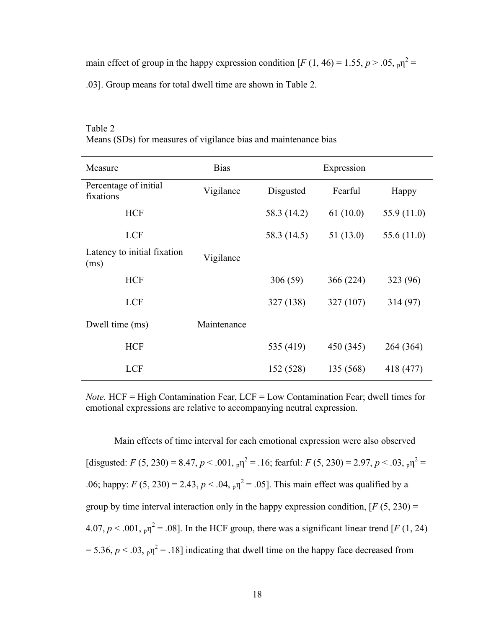main effect of group in the happy expression condition  $[F(1, 46) = 1.55, p > .05, p]^2 =$ 

.03]. Group means for total dwell time are shown in Table 2.

| Measure                             | <b>Bias</b> | Expression           |           |               |  |
|-------------------------------------|-------------|----------------------|-----------|---------------|--|
| Percentage of initial<br>fixations  | Vigilance   | Fearful<br>Disgusted |           | Happy         |  |
| <b>HCF</b>                          |             | 58.3 (14.2)          | 61(10.0)  | 55.9 $(11.0)$ |  |
| <b>LCF</b>                          |             | 58.3 (14.5)          | 51(13.0)  | 55.6 $(11.0)$ |  |
| Latency to initial fixation<br>(ms) | Vigilance   |                      |           |               |  |
| <b>HCF</b>                          |             | 306(59)              | 366 (224) | 323 (96)      |  |
| <b>LCF</b>                          |             | 327 (138)            | 327 (107) | 314 (97)      |  |
| Dwell time (ms)                     | Maintenance |                      |           |               |  |
| <b>HCF</b>                          |             | 535 (419)            | 450 (345) | 264 (364)     |  |
| <b>LCF</b>                          |             | 152 (528)            | 135 (568) | 418 (477)     |  |

Table 2 Means (SDs) for measures of vigilance bias and maintenance bias

*Note.* HCF = High Contamination Fear, LCF = Low Contamination Fear; dwell times for emotional expressions are relative to accompanying neutral expression.

Main effects of time interval for each emotional expression were also observed [disgusted: *F* (5, 230) = 8.47, *p* < .001,  $_{p}n^{2}$  = .16; fearful: *F* (5, 230) = 2.97, *p* < .03,  $_{p}n^{2}$  = .06; happy:  $F(5, 230) = 2.43$ ,  $p < .04$ ,  $p\eta^2 = .05$ . This main effect was qualified by a group by time interval interaction only in the happy expression condition,  $[F(5, 230) =$ 4.07,  $p < 0.01$ ,  $p\eta^2 = 0.08$ . In the HCF group, there was a significant linear trend [*F* (1, 24)  $= 5.36, p < .03, p<sup>2</sup> = .18$ ] indicating that dwell time on the happy face decreased from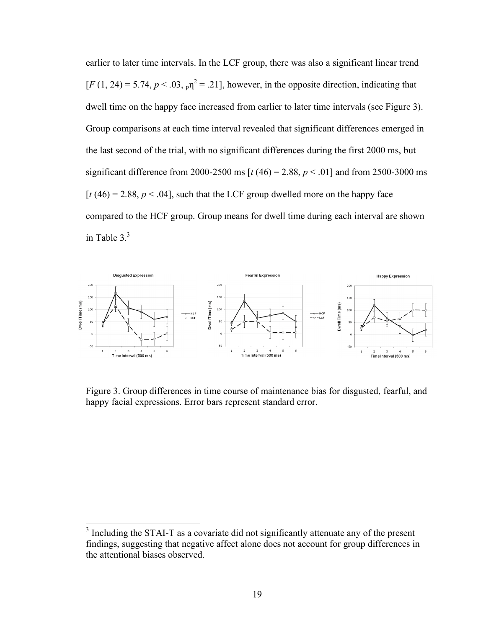earlier to later time intervals. In the LCF group, there was also a significant linear trend  $[F(1, 24) = 5.74, p < .03, p\eta^2 = .21]$ , however, in the opposite direction, indicating that dwell time on the happy face increased from earlier to later time intervals (see Figure 3). Group comparisons at each time interval revealed that significant differences emerged in the last second of the trial, with no significant differences during the first 2000 ms, but significant difference from 2000-2500 ms  $[t(46) = 2.88, p < .01]$  and from 2500-3000 ms  $[t(46) = 2.88, p < .04]$ , such that the LCF group dwelled more on the happy face compared to the HCF group. Group means for dwell time during each interval are shown in Table  $3<sup>3</sup>$ 



Figure 3. Group differences in time course of maintenance bias for disgusted, fearful, and happy facial expressions. Error bars represent standard error.

<sup>&</sup>lt;sup>3</sup> Including the STAI-T as a covariate did not significantly attenuate any of the present findings, suggesting that negative affect alone does not account for group differences in the attentional biases observed.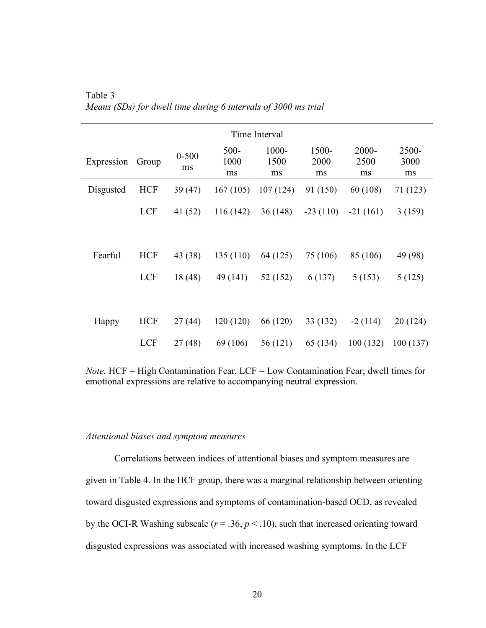| Time Interval |            |                 |                       |                     |                     |                     |                     |  |  |
|---------------|------------|-----------------|-----------------------|---------------------|---------------------|---------------------|---------------------|--|--|
| Expression    | Group      | $0 - 500$<br>ms | $500 -$<br>1000<br>ms | 1000-<br>1500<br>ms | 1500-<br>2000<br>ms | 2000-<br>2500<br>ms | 2500-<br>3000<br>ms |  |  |
| Disgusted     | <b>HCF</b> | 39(47)          | 167(105)              | 107(124)            | 91 (150)            | 60(108)             | 71 (123)            |  |  |
|               | <b>LCF</b> | 41 (52)         | 116(142)              | 36(148)             | $-23(110)$          | $-21(161)$          | 3(159)              |  |  |
|               |            |                 |                       |                     |                     |                     |                     |  |  |
| Fearful       | <b>HCF</b> | 43 (38)         | 135(110)              | 64 (125)            | 75 (106)            | 85 (106)            | 49 (98)             |  |  |
|               | <b>LCF</b> | 18 (48)         | 49 (141)              | 52 (152)            | 6(137)              | 5(153)              | 5(125)              |  |  |
|               |            |                 |                       |                     |                     |                     |                     |  |  |
| Happy         | <b>HCF</b> | 27(44)          | 120(120)              | 66 (120)            | 33 (132)            | $-2(114)$           | 20(124)             |  |  |
|               | <b>LCF</b> | 27(48)          | 69 (106)              | 56 (121)            | 65 (134)            | 100(132)            | 100(137)            |  |  |

| Table 3 |                                                                |  |  |  |  |
|---------|----------------------------------------------------------------|--|--|--|--|
|         | Means (SDs) for dwell time during 6 intervals of 3000 ms trial |  |  |  |  |

*Note.* HCF = High Contamination Fear, LCF = Low Contamination Fear; dwell times for emotional expressions are relative to accompanying neutral expression.

### *Attentional biases and symptom measures*

Correlations between indices of attentional biases and symptom measures are given in Table 4. In the HCF group, there was a marginal relationship between orienting toward disgusted expressions and symptoms of contamination-based OCD, as revealed by the OCI-R Washing subscale  $(r = .36, p < .10)$ , such that increased orienting toward disgusted expressions was associated with increased washing symptoms. In the LCF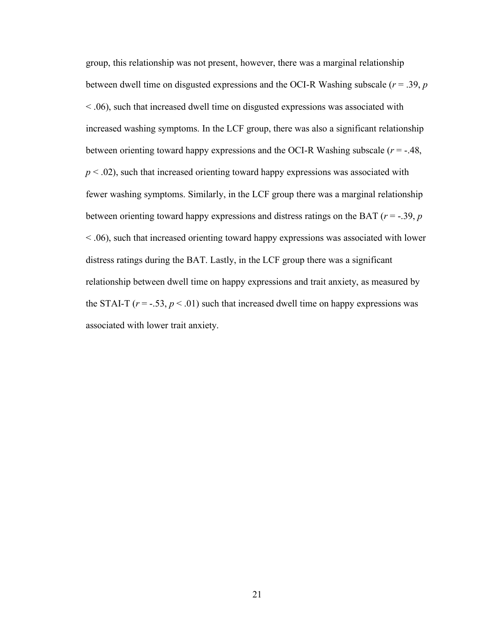group, this relationship was not present, however, there was a marginal relationship between dwell time on disgusted expressions and the OCI-R Washing subscale (*r* = .39, *p* < .06), such that increased dwell time on disgusted expressions was associated with increased washing symptoms. In the LCF group, there was also a significant relationship between orienting toward happy expressions and the OCI-R Washing subscale (*r* = -.48,  $p < .02$ ), such that increased orienting toward happy expressions was associated with fewer washing symptoms. Similarly, in the LCF group there was a marginal relationship between orienting toward happy expressions and distress ratings on the BAT (*r* = -.39, *p* < .06), such that increased orienting toward happy expressions was associated with lower distress ratings during the BAT. Lastly, in the LCF group there was a significant relationship between dwell time on happy expressions and trait anxiety, as measured by the STAI-T  $(r = -.53, p < .01)$  such that increased dwell time on happy expressions was associated with lower trait anxiety.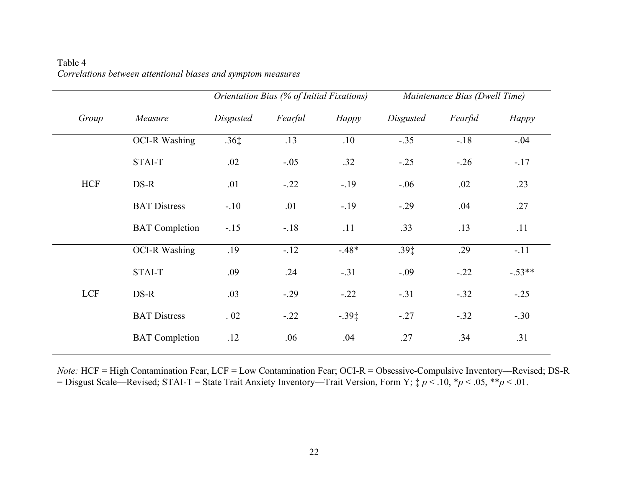### Table 4 *Correlations between attentional biases and symptom measures*

|            |                       | Orientation Bias (% of Initial Fixations) |         |              | Maintenance Bias (Dwell Time) |         |              |
|------------|-----------------------|-------------------------------------------|---------|--------------|-------------------------------|---------|--------------|
| Group      | Measure               | Disgusted                                 | Fearful | <b>Happy</b> | Disgusted                     | Fearful | <b>Happy</b> |
|            | <b>OCI-R Washing</b>  | .36 <sup>†</sup>                          | .13     | .10          | $-.35$                        | $-.18$  | $-.04$       |
|            | STAI-T                | .02                                       | $-.05$  | .32          | $-.25$                        | $-.26$  | $-.17$       |
| <b>HCF</b> | DS-R                  | .01                                       | $-.22$  | $-19$        | $-.06$                        | .02     | .23          |
|            | <b>BAT Distress</b>   | $-.10$                                    | .01     | $-19$        | $-.29$                        | .04     | .27          |
|            | <b>BAT</b> Completion | $-.15$                                    | $-.18$  | .11          | .33                           | .13     | .11          |
|            | <b>OCI-R Washing</b>  | .19                                       | $-12$   | $-48*$       | .39‡                          | .29     | $-.11$       |
|            | STAI-T                | .09                                       | .24     | $-.31$       | $-.09$                        | $-.22$  | $-.53**$     |
| LCF        | DS-R                  | .03                                       | $-0.29$ | $-.22$       | $-.31$                        | $-.32$  | $-.25$       |
|            | <b>BAT Distress</b>   | .02                                       | $-.22$  | $-.39†$      | $-.27$                        | $-.32$  | $-.30$       |
|            | <b>BAT</b> Completion | .12                                       | .06     | .04          | .27                           | .34     | .31          |

*Note:* HCF = High Contamination Fear, LCF = Low Contamination Fear; OCI-R = Obsessive-Compulsive Inventory—Revised; DS-R = Disgust Scale––Revised; STAI-T = State Trait Anxiety Inventory–Trait Version, Form Y;  $\ddagger p < 0.10$ ,  $\ddagger p < 0.05$ ,  $\ddagger p < 0.01$ .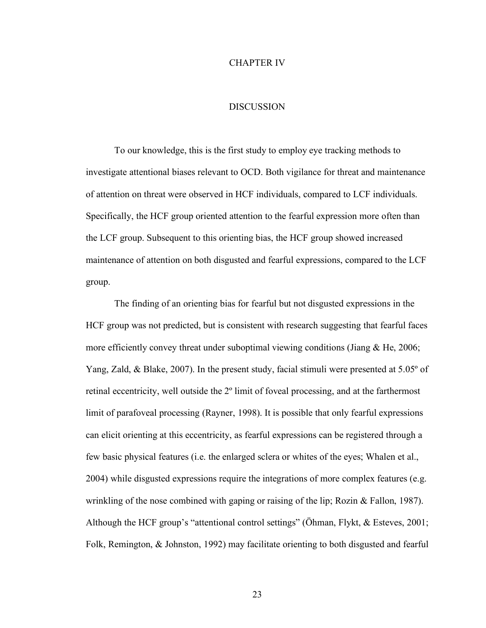#### CHAPTER IV

#### **DISCUSSION**

To our knowledge, this is the first study to employ eye tracking methods to investigate attentional biases relevant to OCD. Both vigilance for threat and maintenance of attention on threat were observed in HCF individuals, compared to LCF individuals. Specifically, the HCF group oriented attention to the fearful expression more often than the LCF group. Subsequent to this orienting bias, the HCF group showed increased maintenance of attention on both disgusted and fearful expressions, compared to the LCF group.

The finding of an orienting bias for fearful but not disgusted expressions in the HCF group was not predicted, but is consistent with research suggesting that fearful faces more efficiently convey threat under suboptimal viewing conditions (Jiang  $\&$  He, 2006; Yang, Zald, & Blake, 2007). In the present study, facial stimuli were presented at 5.05º of retinal eccentricity, well outside the 2º limit of foveal processing, and at the farthermost limit of parafoveal processing (Rayner, 1998). It is possible that only fearful expressions can elicit orienting at this eccentricity, as fearful expressions can be registered through a few basic physical features (i.e. the enlarged sclera or whites of the eyes; Whalen et al., 2004) while disgusted expressions require the integrations of more complex features (e.g. wrinkling of the nose combined with gaping or raising of the lip; Rozin & Fallon, 1987). Although the HCF group's "attentional control settings" (Öhman, Flykt, & Esteves, 2001; Folk, Remington, & Johnston, 1992) may facilitate orienting to both disgusted and fearful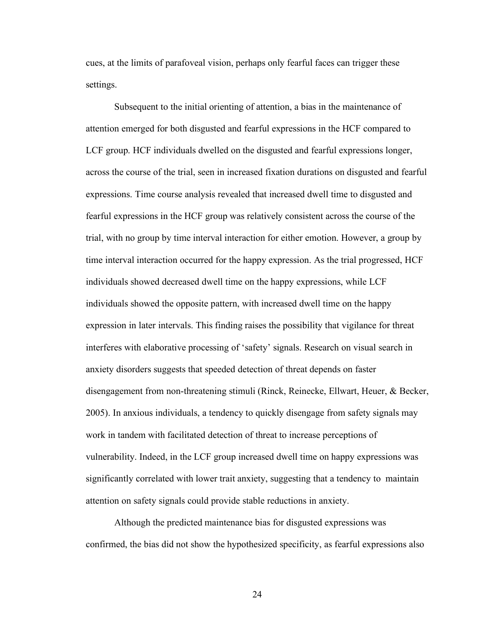cues, at the limits of parafoveal vision, perhaps only fearful faces can trigger these settings.

Subsequent to the initial orienting of attention, a bias in the maintenance of attention emerged for both disgusted and fearful expressions in the HCF compared to LCF group. HCF individuals dwelled on the disgusted and fearful expressions longer, across the course of the trial, seen in increased fixation durations on disgusted and fearful expressions. Time course analysis revealed that increased dwell time to disgusted and fearful expressions in the HCF group was relatively consistent across the course of the trial, with no group by time interval interaction for either emotion. However, a group by time interval interaction occurred for the happy expression. As the trial progressed, HCF individuals showed decreased dwell time on the happy expressions, while LCF individuals showed the opposite pattern, with increased dwell time on the happy expression in later intervals. This finding raises the possibility that vigilance for threat interferes with elaborative processing of 'safety' signals. Research on visual search in anxiety disorders suggests that speeded detection of threat depends on faster disengagement from non-threatening stimuli (Rinck, Reinecke, Ellwart, Heuer, & Becker, 2005). In anxious individuals, a tendency to quickly disengage from safety signals may work in tandem with facilitated detection of threat to increase perceptions of vulnerability. Indeed, in the LCF group increased dwell time on happy expressions was significantly correlated with lower trait anxiety, suggesting that a tendency to maintain attention on safety signals could provide stable reductions in anxiety.

Although the predicted maintenance bias for disgusted expressions was confirmed, the bias did not show the hypothesized specificity, as fearful expressions also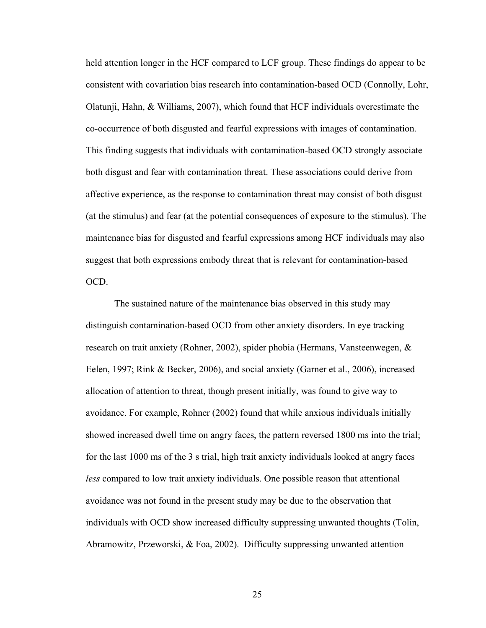held attention longer in the HCF compared to LCF group. These findings do appear to be consistent with covariation bias research into contamination-based OCD (Connolly, Lohr, Olatunji, Hahn, & Williams, 2007), which found that HCF individuals overestimate the co-occurrence of both disgusted and fearful expressions with images of contamination. This finding suggests that individuals with contamination-based OCD strongly associate both disgust and fear with contamination threat. These associations could derive from affective experience, as the response to contamination threat may consist of both disgust (at the stimulus) and fear (at the potential consequences of exposure to the stimulus). The maintenance bias for disgusted and fearful expressions among HCF individuals may also suggest that both expressions embody threat that is relevant for contamination-based OCD.

The sustained nature of the maintenance bias observed in this study may distinguish contamination-based OCD from other anxiety disorders. In eye tracking research on trait anxiety (Rohner, 2002), spider phobia (Hermans, Vansteenwegen, & Eelen, 1997; Rink & Becker, 2006), and social anxiety (Garner et al., 2006), increased allocation of attention to threat, though present initially, was found to give way to avoidance. For example, Rohner (2002) found that while anxious individuals initially showed increased dwell time on angry faces, the pattern reversed 1800 ms into the trial; for the last 1000 ms of the 3 s trial, high trait anxiety individuals looked at angry faces *less* compared to low trait anxiety individuals. One possible reason that attentional avoidance was not found in the present study may be due to the observation that individuals with OCD show increased difficulty suppressing unwanted thoughts (Tolin, Abramowitz, Przeworski, & Foa, 2002). Difficulty suppressing unwanted attention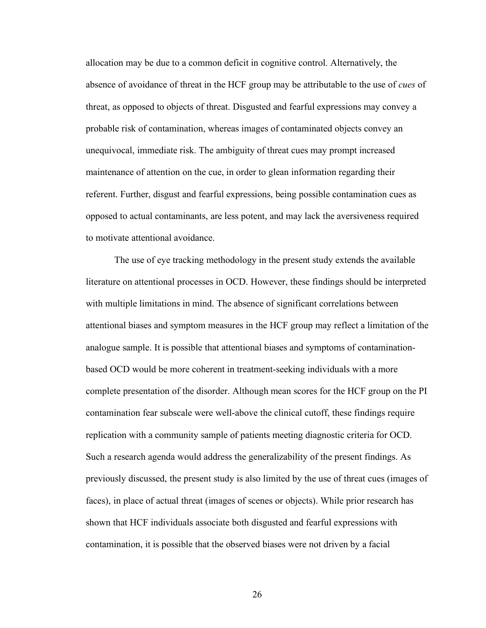allocation may be due to a common deficit in cognitive control. Alternatively, the absence of avoidance of threat in the HCF group may be attributable to the use of *cues* of threat, as opposed to objects of threat. Disgusted and fearful expressions may convey a probable risk of contamination, whereas images of contaminated objects convey an unequivocal, immediate risk. The ambiguity of threat cues may prompt increased maintenance of attention on the cue, in order to glean information regarding their referent. Further, disgust and fearful expressions, being possible contamination cues as opposed to actual contaminants, are less potent, and may lack the aversiveness required to motivate attentional avoidance.

The use of eye tracking methodology in the present study extends the available literature on attentional processes in OCD. However, these findings should be interpreted with multiple limitations in mind. The absence of significant correlations between attentional biases and symptom measures in the HCF group may reflect a limitation of the analogue sample. It is possible that attentional biases and symptoms of contaminationbased OCD would be more coherent in treatment-seeking individuals with a more complete presentation of the disorder. Although mean scores for the HCF group on the PI contamination fear subscale were well-above the clinical cutoff, these findings require replication with a community sample of patients meeting diagnostic criteria for OCD. Such a research agenda would address the generalizability of the present findings. As previously discussed, the present study is also limited by the use of threat cues (images of faces), in place of actual threat (images of scenes or objects). While prior research has shown that HCF individuals associate both disgusted and fearful expressions with contamination, it is possible that the observed biases were not driven by a facial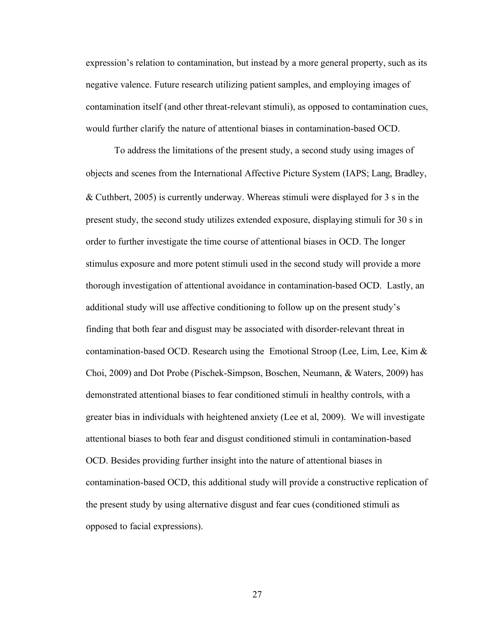expression's relation to contamination, but instead by a more general property, such as its negative valence. Future research utilizing patient samples, and employing images of contamination itself (and other threat-relevant stimuli), as opposed to contamination cues, would further clarify the nature of attentional biases in contamination-based OCD.

To address the limitations of the present study, a second study using images of objects and scenes from the International Affective Picture System (IAPS; Lang, Bradley, & Cuthbert, 2005) is currently underway. Whereas stimuli were displayed for 3 s in the present study, the second study utilizes extended exposure, displaying stimuli for 30 s in order to further investigate the time course of attentional biases in OCD. The longer stimulus exposure and more potent stimuli used in the second study will provide a more thorough investigation of attentional avoidance in contamination-based OCD. Lastly, an additional study will use affective conditioning to follow up on the present study's finding that both fear and disgust may be associated with disorder-relevant threat in contamination-based OCD. Research using the Emotional Stroop (Lee, Lim, Lee, Kim  $\&$ Choi, 2009) and Dot Probe (Pischek-Simpson, Boschen, Neumann, & Waters, 2009) has demonstrated attentional biases to fear conditioned stimuli in healthy controls, with a greater bias in individuals with heightened anxiety (Lee et al, 2009). We will investigate attentional biases to both fear and disgust conditioned stimuli in contamination-based OCD. Besides providing further insight into the nature of attentional biases in contamination-based OCD, this additional study will provide a constructive replication of the present study by using alternative disgust and fear cues (conditioned stimuli as opposed to facial expressions).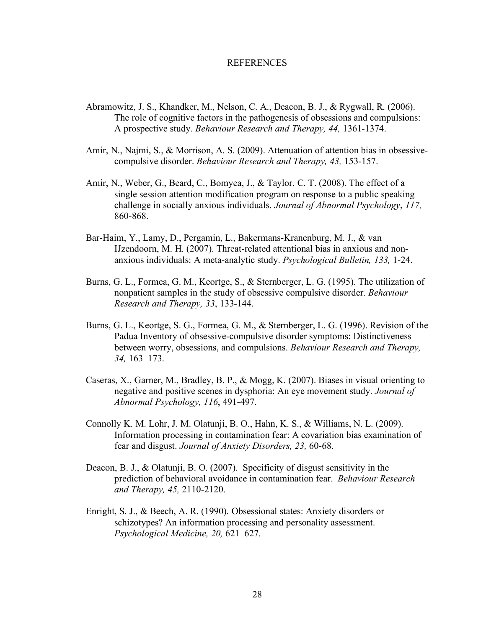#### REFERENCES

- Abramowitz, J. S., Khandker, M., Nelson, C. A., Deacon, B. J., & Rygwall, R. (2006). The role of cognitive factors in the pathogenesis of obsessions and compulsions: A prospective study. *Behaviour Research and Therapy, 44,* 1361-1374.
- Amir, N., Najmi, S., & Morrison, A. S. (2009). Attenuation of attention bias in obsessivecompulsive disorder. *Behaviour Research and Therapy, 43,* 153-157.
- Amir, N., Weber, G., Beard, C., Bomyea, J., & Taylor, C. T. (2008). The effect of a single session attention modification program on response to a public speaking challenge in socially anxious individuals. *Journal of Abnormal Psychology*, *117,* 860-868.
- Bar-Haim, Y., Lamy, D., Pergamin, L., Bakermans-Kranenburg, M. J., & van IJzendoorn, M. H. (2007). Threat-related attentional bias in anxious and nonanxious individuals: A meta-analytic study. *Psychological Bulletin, 133,* 1-24.
- Burns, G. L., Formea, G. M., Keortge, S., & Sternberger, L. G. (1995). The utilization of nonpatient samples in the study of obsessive compulsive disorder. *Behaviour Research and Therapy, 33*, 133-144.
- Burns, G. L., Keortge, S. G., Formea, G. M., & Sternberger, L. G. (1996). Revision of the Padua Inventory of obsessive-compulsive disorder symptoms: Distinctiveness between worry, obsessions, and compulsions. *Behaviour Research and Therapy, 34,* 163–173.
- Caseras, X., Garner, M., Bradley, B. P., & Mogg, K. (2007). Biases in visual orienting to negative and positive scenes in dysphoria: An eye movement study. *Journal of Abnormal Psychology, 116*, 491-497.
- Connolly K. M. Lohr, J. M. Olatunji, B. O., Hahn, K. S., & Williams, N. L. (2009). Information processing in contamination fear: A covariation bias examination of fear and disgust. *Journal of Anxiety Disorders, 23,* 60-68.
- Deacon, B. J., & Olatunji, B. O. (2007). Specificity of disgust sensitivity in the prediction of behavioral avoidance in contamination fear. *Behaviour Research and Therapy, 45,* 2110-2120.
- Enright, S. J., & Beech, A. R. (1990). Obsessional states: Anxiety disorders or schizotypes? An information processing and personality assessment. *Psychological Medicine, 20,* 621–627.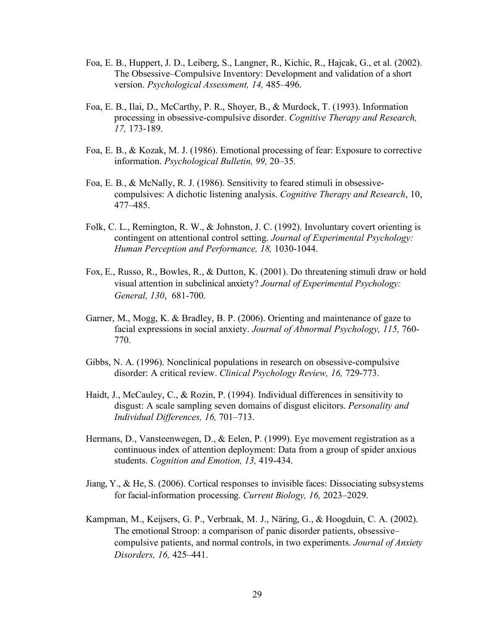- Foa, E. B., Huppert, J. D., Leiberg, S., Langner, R., Kichic, R., Hajcak, G., et al. (2002). The Obsessive–Compulsive Inventory: Development and validation of a short version. *Psychological Assessment, 14,* 485–496.
- Foa, E. B., Ilai, D., McCarthy, P. R., Shoyer, B., & Murdock, T. (1993). Information processing in obsessive-compulsive disorder. *Cognitive Therapy and Research, 17,* 173-189.
- Foa, E. B., & Kozak, M. J. (1986). Emotional processing of fear: Exposure to corrective information. *Psychological Bulletin, 99,* 20–35.
- Foa, E. B., & McNally, R. J. (1986). Sensitivity to feared stimuli in obsessivecompulsives: A dichotic listening analysis. *Cognitive Therapy and Research*, 10, 477–485.
- Folk, C. L., Remington, R. W., & Johnston, J. C. (1992). Involuntary covert orienting is contingent on attentional control setting. *Journal of Experimental Psychology: Human Perception and Performance, 18,* 1030-1044.
- Fox, E., Russo, R., Bowles, R., & Dutton, K. (2001). Do threatening stimuli draw or hold visual attention in subclinical anxiety? *Journal of Experimental Psychology: General, 130*, 681-700.
- Garner, M., Mogg, K. & Bradley, B. P. (2006). Orienting and maintenance of gaze to facial expressions in social anxiety. *Journal of Abnormal Psychology, 115,* 760- 770.
- Gibbs, N. A. (1996). Nonclinical populations in research on obsessive-compulsive disorder: A critical review. *Clinical Psychology Review, 16,* 729-773.
- Haidt, J., McCauley, C., & Rozin, P. (1994). Individual differences in sensitivity to disgust: A scale sampling seven domains of disgust elicitors. *Personality and Individual Differences, 16,* 701–713.
- Hermans, D., Vansteenwegen, D., & Eelen, P. (1999). Eye movement registration as a continuous index of attention deployment: Data from a group of spider anxious students. *Cognition and Emotion, 13,* 419-434.
- Jiang, Y., & He, S. (2006). Cortical responses to invisible faces: Dissociating subsystems for facial-information processing. *Current Biology, 16,* 2023–2029.
- Kampman, M., Keijsers, G. P., Verbraak, M. J., Näring, G., & Hoogduin, C. A. (2002). The emotional Stroop: a comparison of panic disorder patients, obsessive– compulsive patients, and normal controls, in two experiments. *Journal of Anxiety Disorders, 16,* 425–441.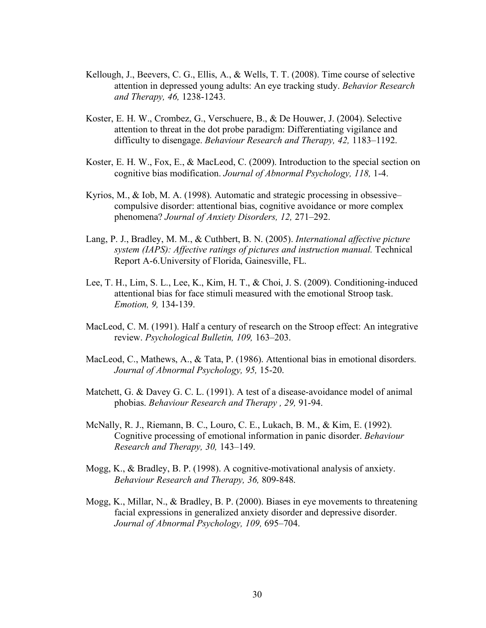- Kellough, J., Beevers, C. G., Ellis, A., & Wells, T. T. (2008). Time course of selective attention in depressed young adults: An eye tracking study. *Behavior Research and Therapy, 46,* 1238-1243.
- Koster, E. H. W., Crombez, G., Verschuere, B., & De Houwer, J. (2004). Selective attention to threat in the dot probe paradigm: Differentiating vigilance and difficulty to disengage. *Behaviour Research and Therapy, 42,* 1183–1192.
- Koster, E. H. W., Fox, E., & MacLeod, C. (2009). Introduction to the special section on cognitive bias modification. *Journal of Abnormal Psychology, 118,* 1-4.
- Kyrios, M., & Iob, M. A. (1998). Automatic and strategic processing in obsessive– compulsive disorder: attentional bias, cognitive avoidance or more complex phenomena? *Journal of Anxiety Disorders, 12,* 271–292.
- Lang, P. J., Bradley, M. M., & Cuthbert, B. N. (2005). *International affective picture system (IAPS): Affective ratings of pictures and instruction manual.* Technical Report A-6.University of Florida, Gainesville, FL.
- Lee, T. H., Lim, S. L., Lee, K., Kim, H. T., & Choi, J. S. (2009). Conditioning-induced attentional bias for face stimuli measured with the emotional Stroop task. *Emotion, 9,* 134-139.
- MacLeod, C. M. (1991). Half a century of research on the Stroop effect: An integrative review. *Psychological Bulletin, 109,* 163–203.
- MacLeod, C., Mathews, A., & Tata, P. (1986). Attentional bias in emotional disorders. *Journal of Abnormal Psychology, 95,* 15-20.
- Matchett, G. & Davey G. C. L. (1991). A test of a disease-avoidance model of animal phobias. *Behaviour Research and Therapy , 29,* 91-94.
- McNally, R. J., Riemann, B. C., Louro, C. E., Lukach, B. M., & Kim, E. (1992). Cognitive processing of emotional information in panic disorder. *Behaviour Research and Therapy, 30,* 143–149.
- Mogg, K., & Bradley, B. P. (1998). A cognitive-motivational analysis of anxiety. *Behaviour Research and Therapy, 36,* 809-848.
- Mogg, K., Millar, N., & Bradley, B. P. (2000). Biases in eye movements to threatening facial expressions in generalized anxiety disorder and depressive disorder. *Journal of Abnormal Psychology, 109,* 695–704.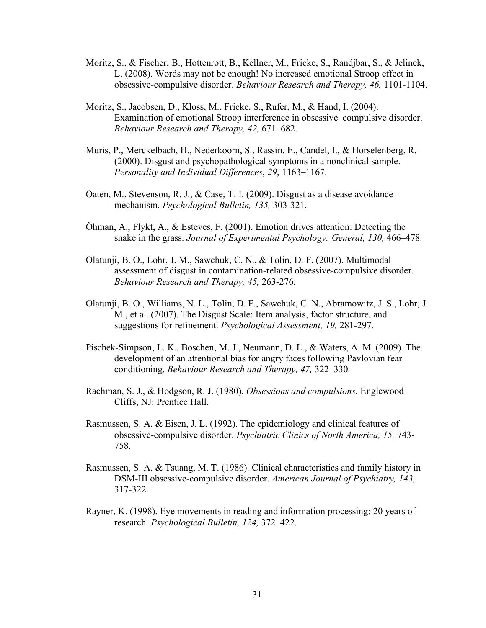- Moritz, S., & Fischer, B., Hottenrott, B., Kellner, M., Fricke, S., Randjbar, S., & Jelinek, L. (2008). Words may not be enough! No increased emotional Stroop effect in obsessive-compulsive disorder. *Behaviour Research and Therapy, 46,* 1101-1104.
- Moritz, S., Jacobsen, D., Kloss, M., Fricke, S., Rufer, M., & Hand, I. (2004). Examination of emotional Stroop interference in obsessive–compulsive disorder. *Behaviour Research and Therapy, 42,* 671–682.
- Muris, P., Merckelbach, H., Nederkoorn, S., Rassin, E., Candel, I., & Horselenberg, R. (2000). Disgust and psychopathological symptoms in a nonclinical sample. *Personality and Individual Differences*, *29*, 1163–1167.
- Oaten, M., Stevenson, R. J., & Case, T. I. (2009). Disgust as a disease avoidance mechanism. *Psychological Bulletin, 135,* 303-321.
- Öhman, A., Flykt, A., & Esteves, F. (2001). Emotion drives attention: Detecting the snake in the grass. *Journal of Experimental Psychology: General, 130,* 466–478.
- Olatunji, B. O., Lohr, J. M., Sawchuk, C. N., & Tolin, D. F. (2007). Multimodal assessment of disgust in contamination-related obsessive-compulsive disorder. *Behaviour Research and Therapy, 45,* 263-276.
- Olatunji, B. O., Williams, N. L., Tolin, D. F., Sawchuk, C. N., Abramowitz, J. S., Lohr, J. M., et al. (2007). The Disgust Scale: Item analysis, factor structure, and suggestions for refinement. *Psychological Assessment, 19,* 281-297.
- Pischek-Simpson, L. K., Boschen, M. J., Neumann, D. L., & Waters, A. M. (2009). The development of an attentional bias for angry faces following Pavlovian fear conditioning. *Behaviour Research and Therapy, 47,* 322–330.
- Rachman, S. J., & Hodgson, R. J. (1980). *Obsessions and compulsions*. Englewood Cliffs, NJ: Prentice Hall.
- Rasmussen, S. A. & Eisen, J. L. (1992). The epidemiology and clinical features of obsessive-compulsive disorder. *Psychiatric Clinics of North America, 15,* 743- 758.
- Rasmussen, S. A. & Tsuang, M. T. (1986). Clinical characteristics and family history in DSM-III obsessive-compulsive disorder. *American Journal of Psychiatry, 143,* 317-322.
- Rayner, K. (1998). Eye movements in reading and information processing: 20 years of research. *Psychological Bulletin, 124,* 372–422.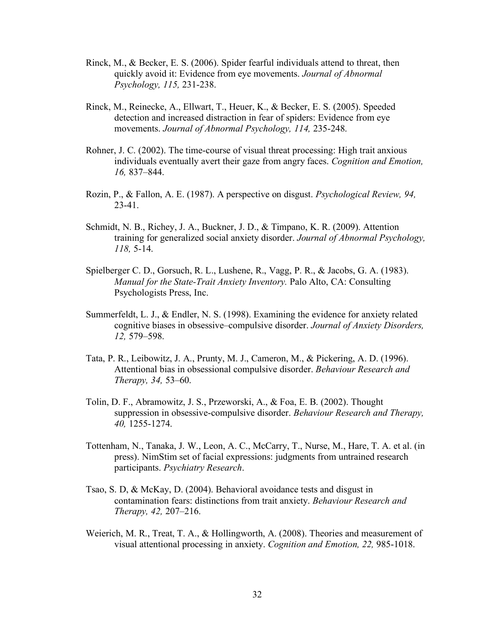- Rinck, M., & Becker, E. S. (2006). Spider fearful individuals attend to threat, then quickly avoid it: Evidence from eye movements. *Journal of Abnormal Psychology, 115,* 231-238.
- Rinck, M., Reinecke, A., Ellwart, T., Heuer, K., & Becker, E. S. (2005). Speeded detection and increased distraction in fear of spiders: Evidence from eye movements. *Journal of Abnormal Psychology, 114,* 235-248.
- Rohner, J. C. (2002). The time-course of visual threat processing: High trait anxious individuals eventually avert their gaze from angry faces. *Cognition and Emotion, 16,* 837–844.
- Rozin, P., & Fallon, A. E. (1987). A perspective on disgust. *Psychological Review, 94,* 23-41.
- Schmidt, N. B., Richey, J. A., Buckner, J. D., & Timpano, K. R. (2009). Attention training for generalized social anxiety disorder. *Journal of Abnormal Psychology, 118,* 5-14.
- Spielberger C. D., Gorsuch, R. L., Lushene, R., Vagg, P. R., & Jacobs, G. A. (1983). *Manual for the State-Trait Anxiety Inventory.* Palo Alto, CA: Consulting Psychologists Press, Inc.
- Summerfeldt, L. J., & Endler, N. S. (1998). Examining the evidence for anxiety related cognitive biases in obsessive–compulsive disorder. *Journal of Anxiety Disorders, 12,* 579–598.
- Tata, P. R., Leibowitz, J. A., Prunty, M. J., Cameron, M., & Pickering, A. D. (1996). Attentional bias in obsessional compulsive disorder. *Behaviour Research and Therapy, 34,* 53–60.
- Tolin, D. F., Abramowitz, J. S., Przeworski, A., & Foa, E. B. (2002). Thought suppression in obsessive-compulsive disorder. *Behaviour Research and Therapy, 40,* 1255-1274.
- Tottenham, N., Tanaka, J. W., Leon, A. C., McCarry, T., Nurse, M., Hare, T. A. et al. (in press). NimStim set of facial expressions: judgments from untrained research participants. *Psychiatry Research*.
- Tsao, S. D, & McKay, D. (2004). Behavioral avoidance tests and disgust in contamination fears: distinctions from trait anxiety. *Behaviour Research and Therapy, 42,* 207–216.
- Weierich, M. R., Treat, T. A., & Hollingworth, A. (2008). Theories and measurement of visual attentional processing in anxiety. *Cognition and Emotion, 22,* 985-1018.